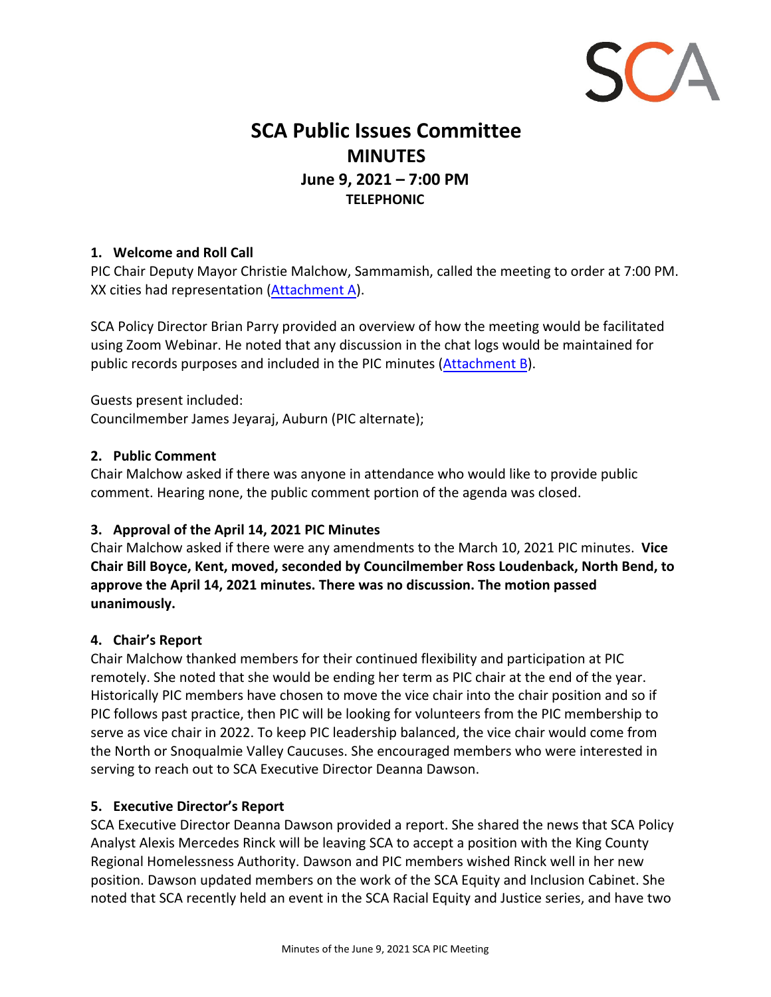

# **SCA Public Issues Committee MINUTES June 9, 2021 – 7:00 PM TELEPHONIC**

# **1. Welcome and Roll Call**

PIC Chair Deputy Mayor Christie Malchow, Sammamish, called the meeting to order at 7:00 PM. XX cities had representation (Attachment A).

SCA Policy Director Brian Parry provided an overview of how the meeting would be facilitated using Zoom Webinar. He noted that any discussion in the chat logs would be maintained for public records purposes and included in the PIC minutes (Attachment B).

Guests present included: Councilmember James Jeyaraj, Auburn (PIC alternate);

#### **2. Public Comment**

Chair Malchow asked if there was anyone in attendance who would like to provide public comment. Hearing none, the public comment portion of the agenda was closed.

# **3. Approval of the April 14, 2021 PIC Minutes**

Chair Malchow asked if there were any amendments to the March 10, 2021 PIC minutes. **Vice Chair Bill Boyce, Kent, moved, seconded by Councilmember Ross Loudenback, North Bend, to approve the April 14, 2021 minutes. There was no discussion. The motion passed unanimously.**

#### **4. Chair's Report**

Chair Malchow thanked members for their continued flexibility and participation at PIC remotely. She noted that she would be ending her term as PIC chair at the end of the year. Historically PIC members have chosen to move the vice chair into the chair position and so if PIC follows past practice, then PIC will be looking for volunteers from the PIC membership to serve as vice chair in 2022. To keep PIC leadership balanced, the vice chair would come from the North or Snoqualmie Valley Caucuses. She encouraged members who were interested in serving to reach out to SCA Executive Director Deanna Dawson.

#### **5. Executive Director's Report**

SCA Executive Director Deanna Dawson provided a report. She shared the news that SCA Policy Analyst Alexis Mercedes Rinck will be leaving SCA to accept a position with the King County Regional Homelessness Authority. Dawson and PIC members wished Rinck well in her new position. Dawson updated members on the work of the SCA Equity and Inclusion Cabinet. She noted that SCA recently held an event in the SCA Racial Equity and Justice series, and have two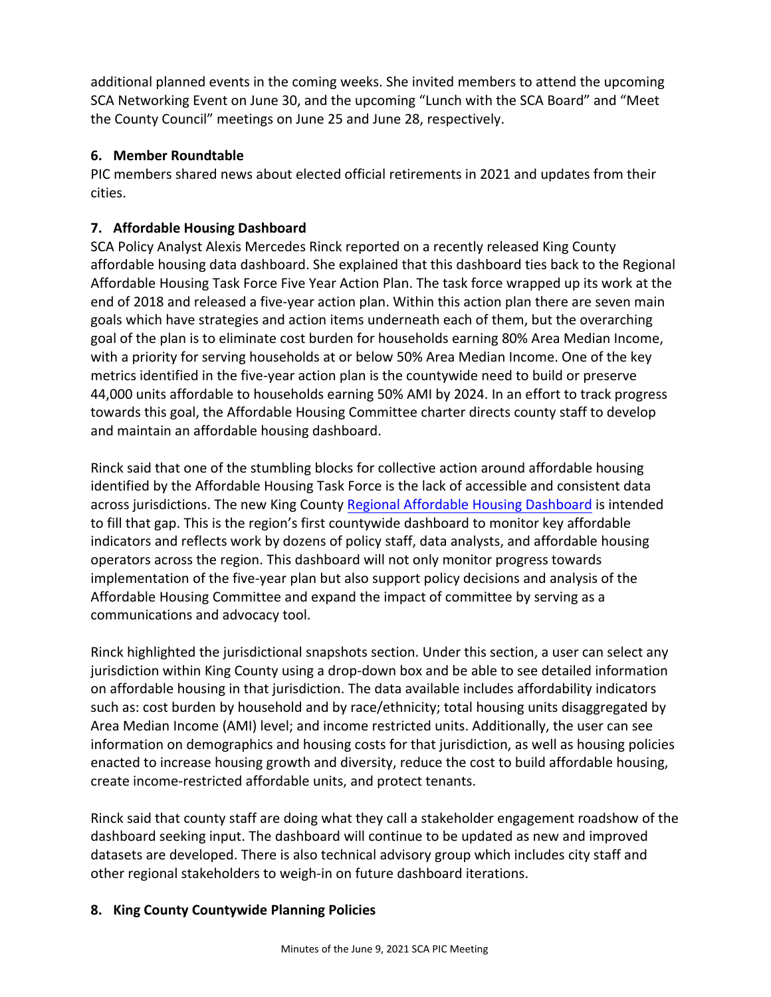additional planned events in the coming weeks. She invited members to attend the upcoming SCA Networking Event on June 30, and the upcoming "Lunch with the SCA Board" and "Meet the County Council" meetings on June 25 and June 28, respectively.

# **6. Member Roundtable**

PIC members shared news about elected official retirements in 2021 and updates from their cities.

# **7. Affordable Housing Dashboard**

SCA Policy Analyst Alexis Mercedes Rinck reported on a recently released King County affordable housing data dashboard. She explained that this dashboard ties back to the Regional Affordable Housing Task Force Five Year Action Plan. The task force wrapped up its work at the end of 2018 and released a five‐year action plan. Within this action plan there are seven main goals which have strategies and action items underneath each of them, but the overarching goal of the plan is to eliminate cost burden for households earning 80% Area Median Income, with a priority for serving households at or below 50% Area Median Income. One of the key metrics identified in the five‐year action plan is the countywide need to build or preserve 44,000 units affordable to households earning 50% AMI by 2024. In an effort to track progress towards this goal, the Affordable Housing Committee charter directs county staff to develop and maintain an affordable housing dashboard.

Rinck said that one of the stumbling blocks for collective action around affordable housing identified by the Affordable Housing Task Force is the lack of accessible and consistent data across jurisdictions. The new King County Regional Affordable Housing Dashboard is intended to fill that gap. This is the region's first countywide dashboard to monitor key affordable indicators and reflects work by dozens of policy staff, data analysts, and affordable housing operators across the region. This dashboard will not only monitor progress towards implementation of the five‐year plan but also support policy decisions and analysis of the Affordable Housing Committee and expand the impact of committee by serving as a communications and advocacy tool.

Rinck highlighted the jurisdictional snapshots section. Under this section, a user can select any jurisdiction within King County using a drop‐down box and be able to see detailed information on affordable housing in that jurisdiction. The data available includes affordability indicators such as: cost burden by household and by race/ethnicity; total housing units disaggregated by Area Median Income (AMI) level; and income restricted units. Additionally, the user can see information on demographics and housing costs for that jurisdiction, as well as housing policies enacted to increase housing growth and diversity, reduce the cost to build affordable housing, create income‐restricted affordable units, and protect tenants.

Rinck said that county staff are doing what they call a stakeholder engagement roadshow of the dashboard seeking input. The dashboard will continue to be updated as new and improved datasets are developed. There is also technical advisory group which includes city staff and other regional stakeholders to weigh‐in on future dashboard iterations.

# **8. King County Countywide Planning Policies**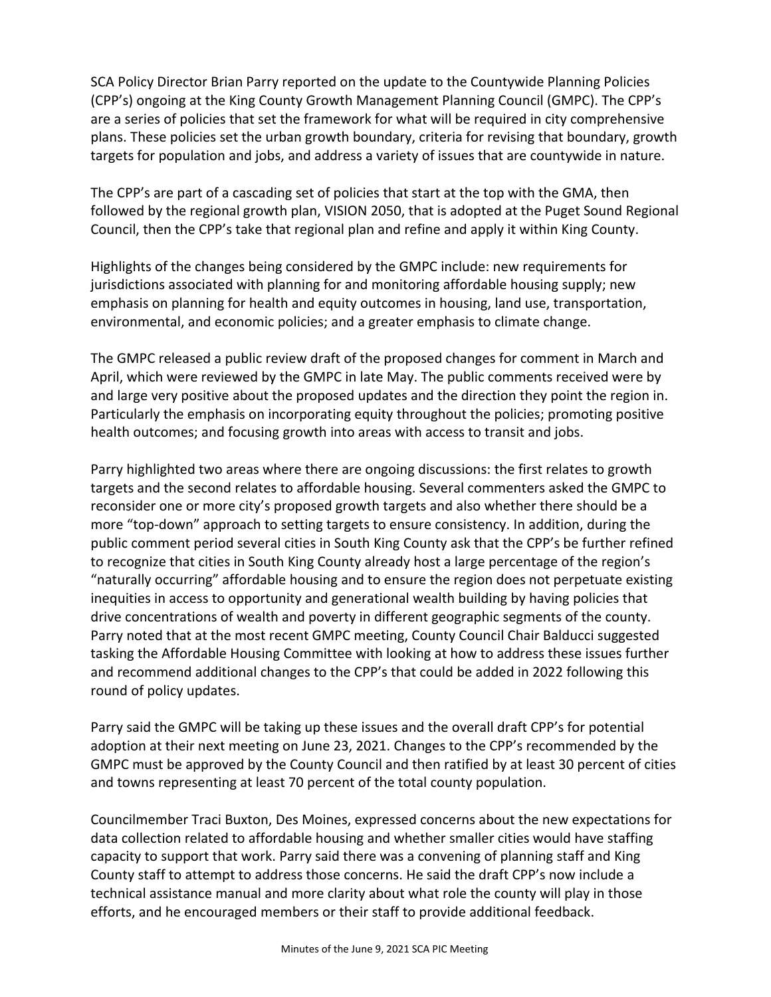SCA Policy Director Brian Parry reported on the update to the Countywide Planning Policies (CPP's) ongoing at the King County Growth Management Planning Council (GMPC). The CPP's are a series of policies that set the framework for what will be required in city comprehensive plans. These policies set the urban growth boundary, criteria for revising that boundary, growth targets for population and jobs, and address a variety of issues that are countywide in nature.

The CPP's are part of a cascading set of policies that start at the top with the GMA, then followed by the regional growth plan, VISION 2050, that is adopted at the Puget Sound Regional Council, then the CPP's take that regional plan and refine and apply it within King County.

Highlights of the changes being considered by the GMPC include: new requirements for jurisdictions associated with planning for and monitoring affordable housing supply; new emphasis on planning for health and equity outcomes in housing, land use, transportation, environmental, and economic policies; and a greater emphasis to climate change.

The GMPC released a public review draft of the proposed changes for comment in March and April, which were reviewed by the GMPC in late May. The public comments received were by and large very positive about the proposed updates and the direction they point the region in. Particularly the emphasis on incorporating equity throughout the policies; promoting positive health outcomes; and focusing growth into areas with access to transit and jobs.

Parry highlighted two areas where there are ongoing discussions: the first relates to growth targets and the second relates to affordable housing. Several commenters asked the GMPC to reconsider one or more city's proposed growth targets and also whether there should be a more "top-down" approach to setting targets to ensure consistency. In addition, during the public comment period several cities in South King County ask that the CPP's be further refined to recognize that cities in South King County already host a large percentage of the region's "naturally occurring" affordable housing and to ensure the region does not perpetuate existing inequities in access to opportunity and generational wealth building by having policies that drive concentrations of wealth and poverty in different geographic segments of the county. Parry noted that at the most recent GMPC meeting, County Council Chair Balducci suggested tasking the Affordable Housing Committee with looking at how to address these issues further and recommend additional changes to the CPP's that could be added in 2022 following this round of policy updates.

Parry said the GMPC will be taking up these issues and the overall draft CPP's for potential adoption at their next meeting on June 23, 2021. Changes to the CPP's recommended by the GMPC must be approved by the County Council and then ratified by at least 30 percent of cities and towns representing at least 70 percent of the total county population.

Councilmember Traci Buxton, Des Moines, expressed concerns about the new expectations for data collection related to affordable housing and whether smaller cities would have staffing capacity to support that work. Parry said there was a convening of planning staff and King County staff to attempt to address those concerns. He said the draft CPP's now include a technical assistance manual and more clarity about what role the county will play in those efforts, and he encouraged members or their staff to provide additional feedback.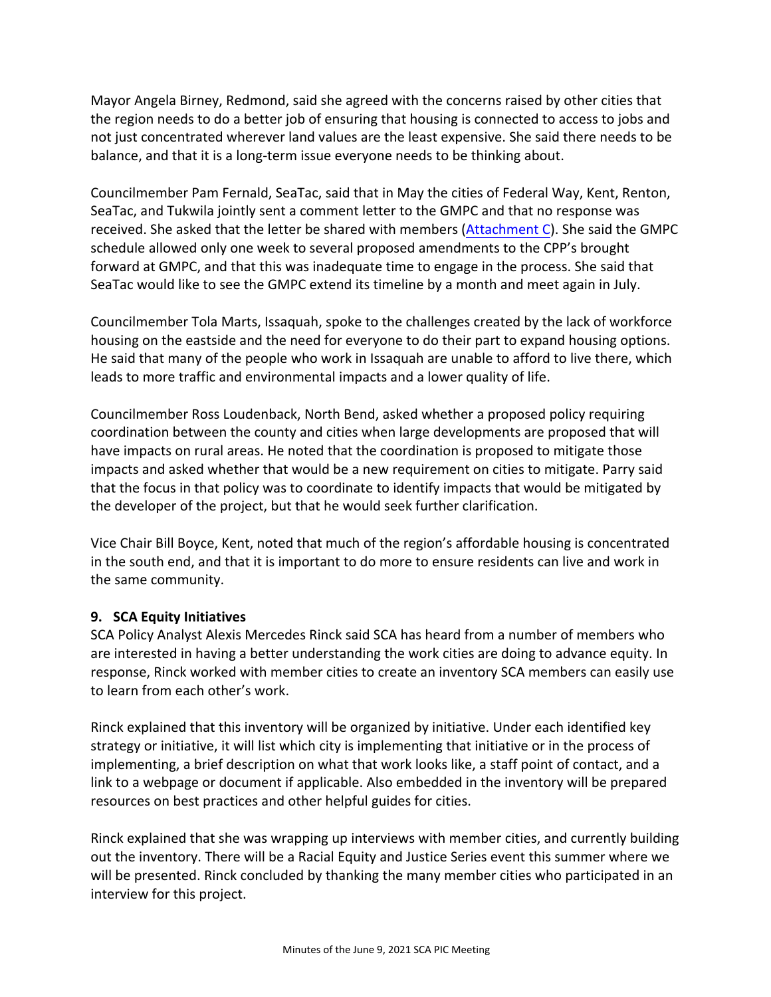Mayor Angela Birney, Redmond, said she agreed with the concerns raised by other cities that the region needs to do a better job of ensuring that housing is connected to access to jobs and not just concentrated wherever land values are the least expensive. She said there needs to be balance, and that it is a long‐term issue everyone needs to be thinking about.

Councilmember Pam Fernald, SeaTac, said that in May the cities of Federal Way, Kent, Renton, SeaTac, and Tukwila jointly sent a comment letter to the GMPC and that no response was received. She asked that the letter be shared with members (Attachment C). She said the GMPC schedule allowed only one week to several proposed amendments to the CPP's brought forward at GMPC, and that this was inadequate time to engage in the process. She said that SeaTac would like to see the GMPC extend its timeline by a month and meet again in July.

Councilmember Tola Marts, Issaquah, spoke to the challenges created by the lack of workforce housing on the eastside and the need for everyone to do their part to expand housing options. He said that many of the people who work in Issaquah are unable to afford to live there, which leads to more traffic and environmental impacts and a lower quality of life.

Councilmember Ross Loudenback, North Bend, asked whether a proposed policy requiring coordination between the county and cities when large developments are proposed that will have impacts on rural areas. He noted that the coordination is proposed to mitigate those impacts and asked whether that would be a new requirement on cities to mitigate. Parry said that the focus in that policy was to coordinate to identify impacts that would be mitigated by the developer of the project, but that he would seek further clarification.

Vice Chair Bill Boyce, Kent, noted that much of the region's affordable housing is concentrated in the south end, and that it is important to do more to ensure residents can live and work in the same community.

#### **9. SCA Equity Initiatives**

SCA Policy Analyst Alexis Mercedes Rinck said SCA has heard from a number of members who are interested in having a better understanding the work cities are doing to advance equity. In response, Rinck worked with member cities to create an inventory SCA members can easily use to learn from each other's work.

Rinck explained that this inventory will be organized by initiative. Under each identified key strategy or initiative, it will list which city is implementing that initiative or in the process of implementing, a brief description on what that work looks like, a staff point of contact, and a link to a webpage or document if applicable. Also embedded in the inventory will be prepared resources on best practices and other helpful guides for cities.

Rinck explained that she was wrapping up interviews with member cities, and currently building out the inventory. There will be a Racial Equity and Justice Series event this summer where we will be presented. Rinck concluded by thanking the many member cities who participated in an interview for this project.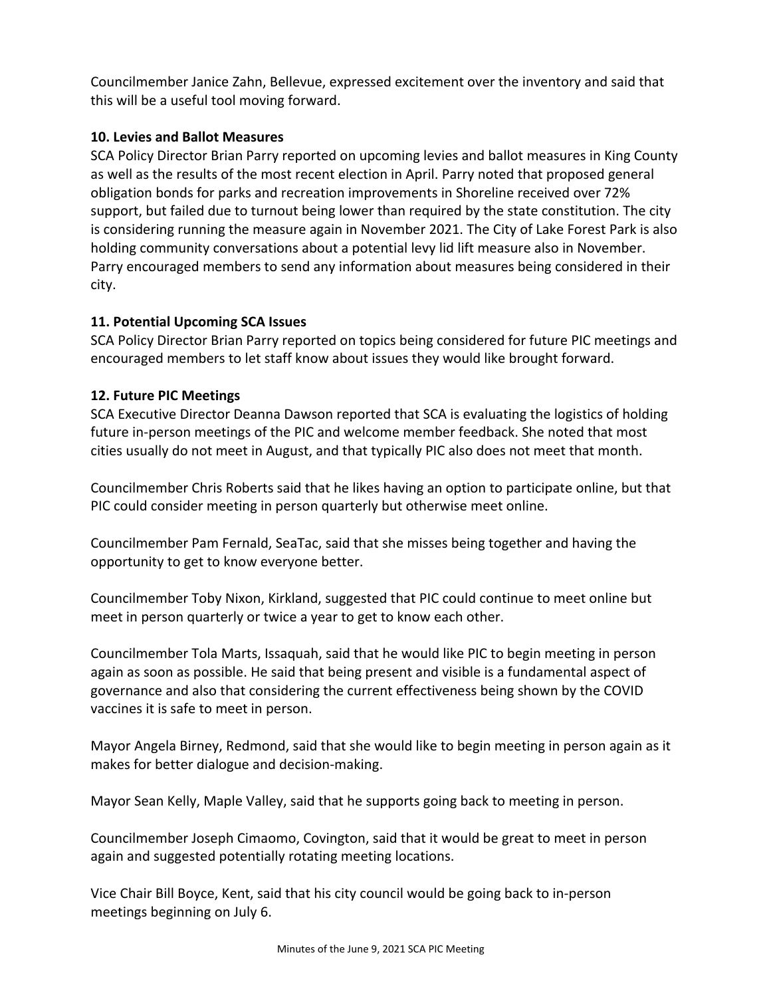Councilmember Janice Zahn, Bellevue, expressed excitement over the inventory and said that this will be a useful tool moving forward.

# **10. Levies and Ballot Measures**

SCA Policy Director Brian Parry reported on upcoming levies and ballot measures in King County as well as the results of the most recent election in April. Parry noted that proposed general obligation bonds for parks and recreation improvements in Shoreline received over 72% support, but failed due to turnout being lower than required by the state constitution. The city is considering running the measure again in November 2021. The City of Lake Forest Park is also holding community conversations about a potential levy lid lift measure also in November. Parry encouraged members to send any information about measures being considered in their city.

# **11. Potential Upcoming SCA Issues**

SCA Policy Director Brian Parry reported on topics being considered for future PIC meetings and encouraged members to let staff know about issues they would like brought forward.

# **12. Future PIC Meetings**

SCA Executive Director Deanna Dawson reported that SCA is evaluating the logistics of holding future in-person meetings of the PIC and welcome member feedback. She noted that most cities usually do not meet in August, and that typically PIC also does not meet that month.

Councilmember Chris Roberts said that he likes having an option to participate online, but that PIC could consider meeting in person quarterly but otherwise meet online.

Councilmember Pam Fernald, SeaTac, said that she misses being together and having the opportunity to get to know everyone better.

Councilmember Toby Nixon, Kirkland, suggested that PIC could continue to meet online but meet in person quarterly or twice a year to get to know each other.

Councilmember Tola Marts, Issaquah, said that he would like PIC to begin meeting in person again as soon as possible. He said that being present and visible is a fundamental aspect of governance and also that considering the current effectiveness being shown by the COVID vaccines it is safe to meet in person.

Mayor Angela Birney, Redmond, said that she would like to begin meeting in person again as it makes for better dialogue and decision‐making.

Mayor Sean Kelly, Maple Valley, said that he supports going back to meeting in person.

Councilmember Joseph Cimaomo, Covington, said that it would be great to meet in person again and suggested potentially rotating meeting locations.

Vice Chair Bill Boyce, Kent, said that his city council would be going back to in‐person meetings beginning on July 6.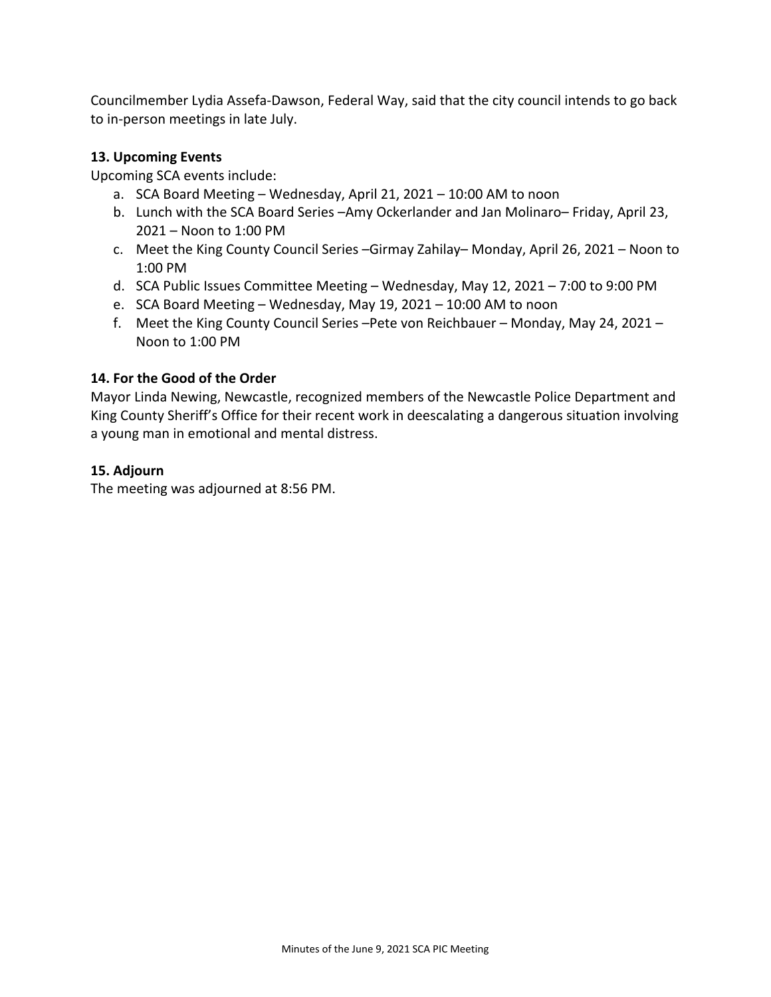Councilmember Lydia Assefa‐Dawson, Federal Way, said that the city council intends to go back to in‐person meetings in late July.

#### **13. Upcoming Events**

Upcoming SCA events include:

- a. SCA Board Meeting Wednesday, April 21, 2021 10:00 AM to noon
- b. Lunch with the SCA Board Series –Amy Ockerlander and Jan Molinaro– Friday, April 23, 2021 – Noon to 1:00 PM
- c. Meet the King County Council Series –Girmay Zahilay– Monday, April 26, 2021 Noon to 1:00 PM
- d. SCA Public Issues Committee Meeting Wednesday, May 12, 2021 7:00 to 9:00 PM
- e. SCA Board Meeting Wednesday, May 19, 2021 10:00 AM to noon
- f. Meet the King County Council Series –Pete von Reichbauer Monday, May 24, 2021 Noon to 1:00 PM

# **14. For the Good of the Order**

Mayor Linda Newing, Newcastle, recognized members of the Newcastle Police Department and King County Sheriff's Office for their recent work in deescalating a dangerous situation involving a young man in emotional and mental distress.

# **15. Adjourn**

The meeting was adjourned at 8:56 PM.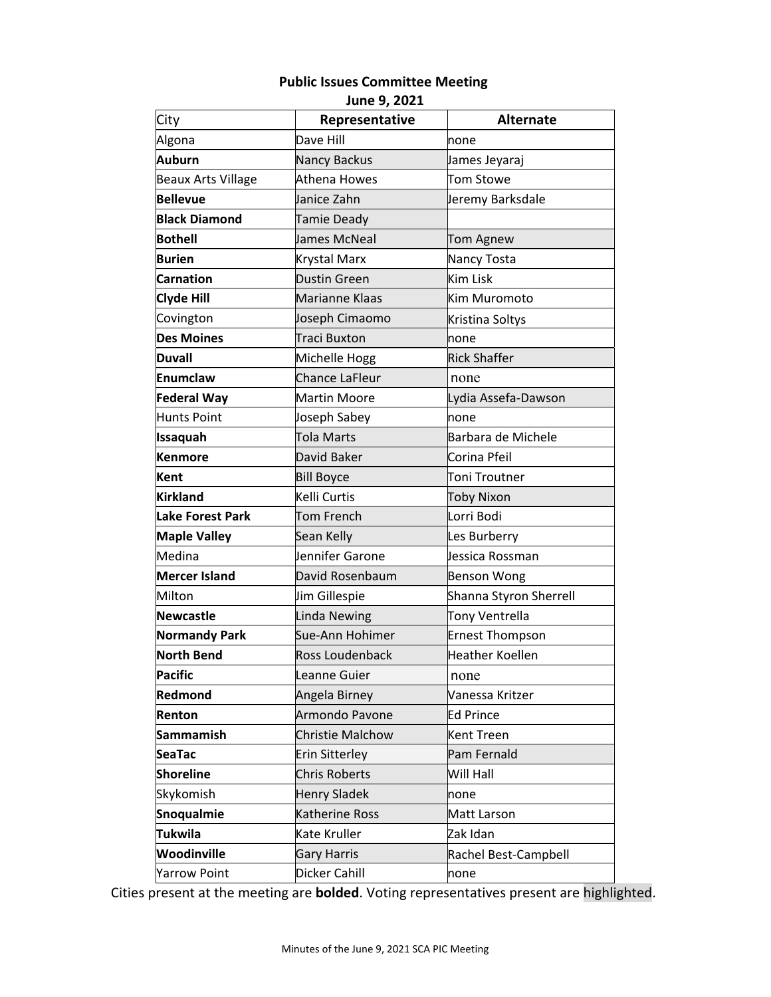# **Public Issues Committee Meeting**

**June 9, 2021**

| City                      | Representative        | <b>Alternate</b>       |
|---------------------------|-----------------------|------------------------|
| Algona                    | Dave Hill             | none                   |
| Auburn                    | <b>Nancy Backus</b>   | James Jeyaraj          |
| <b>Beaux Arts Village</b> | Athena Howes          | Tom Stowe              |
| <b>Bellevue</b>           | Janice Zahn           | Jeremy Barksdale       |
| <b>Black Diamond</b>      | <b>Tamie Deady</b>    |                        |
| <b>Bothell</b>            | James McNeal          | Tom Agnew              |
| <b>Burien</b>             | <b>Krystal Marx</b>   | Nancy Tosta            |
| <b>Carnation</b>          | <b>Dustin Green</b>   | Kim Lisk               |
| <b>Clyde Hill</b>         | Marianne Klaas        | Kim Muromoto           |
| Covington                 | Joseph Cimaomo        | Kristina Soltys        |
| <b>Des Moines</b>         | Traci Buxton          | none                   |
| <b>Duvall</b>             | Michelle Hogg         | <b>Rick Shaffer</b>    |
| <b>Enumclaw</b>           | <b>Chance LaFleur</b> | none                   |
| <b>Federal Way</b>        | <b>Martin Moore</b>   | Lydia Assefa-Dawson    |
| <b>Hunts Point</b>        | Joseph Sabey          | none                   |
| Issaquah                  | Tola Marts            | Barbara de Michele     |
| <b>Kenmore</b>            | David Baker           | Corina Pfeil           |
| Kent                      | <b>Bill Boyce</b>     | Toni Troutner          |
| <b>Kirkland</b>           | Kelli Curtis          | <b>Toby Nixon</b>      |
| <b>Lake Forest Park</b>   | Tom French            | Lorri Bodi             |
| <b>Maple Valley</b>       | Sean Kelly            | Les Burberry           |
| Medina                    | Jennifer Garone       | Jessica Rossman        |
| <b>Mercer Island</b>      | David Rosenbaum       | <b>Benson Wong</b>     |
| Milton                    | Jim Gillespie         | Shanna Styron Sherrell |
| <b>Newcastle</b>          | <b>Linda Newing</b>   | Tony Ventrella         |
| <b>Normandy Park</b>      | Sue-Ann Hohimer       | <b>Ernest Thompson</b> |
| <b>North Bend</b>         | Ross Loudenback       | <b>Heather Koellen</b> |
| <b>Pacific</b>            | Leanne Guier          | none                   |
| Redmond                   | Angela Birney         | Vanessa Kritzer        |
| Renton                    | Armondo Pavone        | Ed Prince              |
| <b>Sammamish</b>          | Christie Malchow      | Kent Treen             |
| <b>SeaTac</b>             | <b>Erin Sitterley</b> | Pam Fernald            |
| <b>Shoreline</b>          | <b>Chris Roberts</b>  | Will Hall              |
| Skykomish                 | <b>Henry Sladek</b>   | none                   |
| <b>Snoqualmie</b>         | Katherine Ross        | Matt Larson            |
| <b>Tukwila</b>            | Kate Kruller          | Zak Idan               |
| Woodinville               | <b>Gary Harris</b>    | Rachel Best-Campbell   |
| <b>Yarrow Point</b>       | Dicker Cahill         | none                   |

Cities present at the meeting are **bolded**. Voting representatives present are highlighted.